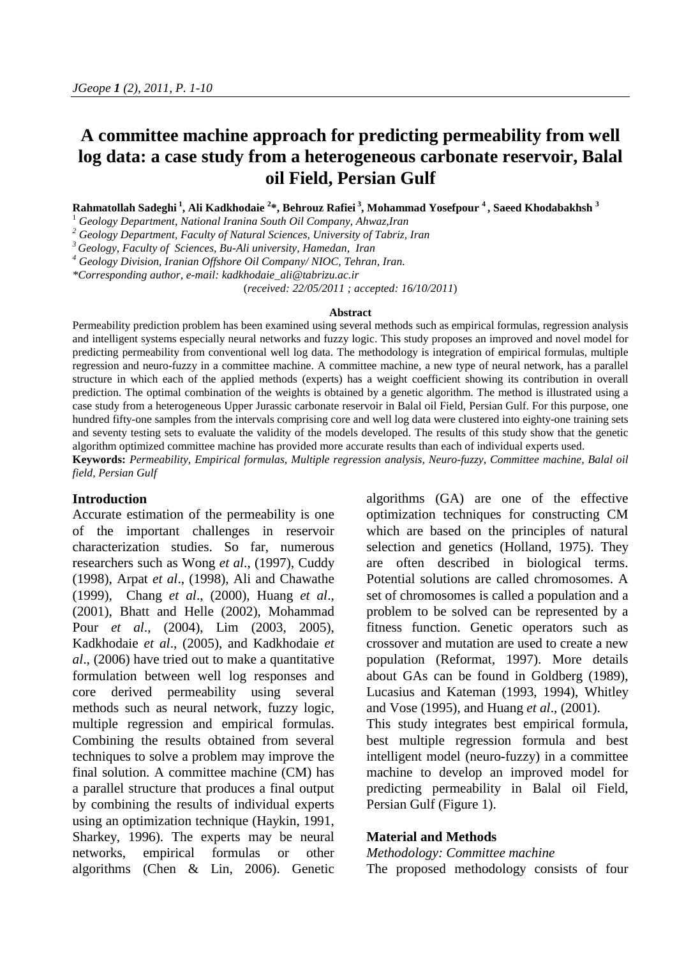# **A committee machine approach for predicting permeability from well log data: a case study from a heterogeneous carbonate reservoir, Balal oil Field, Persian Gulf**

**Rahmatollah Sadeghi <sup>1</sup> , Ali Kadkhodaie <sup>2</sup> \*, Behrouz Rafiei <sup>3</sup> , Mohammad Yosefpour <sup>4</sup> , Saeed Khodabakhsh <sup>3</sup>**

<sup>1</sup> *Geology Department, National Iranina South Oil Company, Ahwaz,Iran*

2<br>
Geology Department, Faculty of Natural Sciences, University of Tabriz, Iran<br>
<sup>3</sup> Geology, Faculty of Sciences, Bu-Ali university, Hamedan, Iran<br>
<sup>4</sup> Geology Division, Iranian Offshore Oil Company/NIOC, Tehran, Iran.

*\*Corresponding author, e-mail: kadkhodaie\_ali@tabrizu.ac.ir*

(*received: 22/05/2011 ; accepted: 16/10/2011*)

#### **Abstract**

Permeability prediction problem has been examined using several methods such as empirical formulas, regression analysis and intelligent systems especially neural networks and fuzzy logic. This study proposes an improved and novel model for predicting permeability from conventional well log data. The methodology is integration of empirical formulas, multiple regression and neuro-fuzzy in a committee machine. A committee machine, a new type of neural network, has a parallel structure in which each of the applied methods (experts) has a weight coefficient showing its contribution in overall prediction. The optimal combination of the weights is obtained by a genetic algorithm. The method is illustrated using a case study from a heterogeneous Upper Jurassic carbonate reservoir in Balal oil Field, Persian Gulf. For this purpose, one hundred fifty-one samples from the intervals comprising core and well log data were clustered into eighty-one training sets and seventy testing sets to evaluate the validity of the models developed. The results of this study show that the genetic algorithm optimized committee machine has provided more accurate results than each of individual experts used. **Keywords:** *Permeability, Empirical formulas, Multiple regression analysis, Neuro-fuzzy, Committee machine, Balal oil* 

*field, Persian Gulf* 

## **Introduction**

Accurate estimation of the permeability is one of the important challenges in reservoir characterization studies. So far, numerous researchers such as Wong *et al*., (1997), Cuddy (1998), Arpat *et al*., (1998), Ali and Chawathe (1999), Chang *et al*., (2000), Huang *et al*., (2001), Bhatt and Helle (2002), Mohammad Pour *et al*., (2004), Lim (2003, 2005), Kadkhodaie *et al*., (2005), and Kadkhodaie *et al*., (2006) have tried out to make a quantitative formulation between well log responses and core derived permeability using several methods such as neural network, fuzzy logic, multiple regression and empirical formulas. Combining the results obtained from several techniques to solve a problem may improve the final solution. A committee machine (CM) has a parallel structure that produces a final output by combining the results of individual experts using an optimization technique (Haykin, 1991, Sharkey, 1996). The experts may be neural networks, empirical formulas or other algorithms (Chen & Lin, 2006). Genetic algorithms (GA) are one of the effective optimization techniques for constructing CM which are based on the principles of natural selection and genetics (Holland, 1975). They are often described in biological terms. Potential solutions are called chromosomes. A set of chromosomes is called a population and a problem to be solved can be represented by a fitness function. Genetic operators such as crossover and mutation are used to create a new population (Reformat, 1997). More details about GAs can be found in Goldberg (1989), Lucasius and Kateman (1993, 1994), Whitley and Vose (1995), and Huang *et al*., (2001).

This study integrates best empirical formula, best multiple regression formula and best intelligent model (neuro-fuzzy) in a committee machine to develop an improved model for predicting permeability in Balal oil Field, Persian Gulf (Figure 1).

#### **Material and Methods**

*Methodology: Committee machine*  The proposed methodology consists of four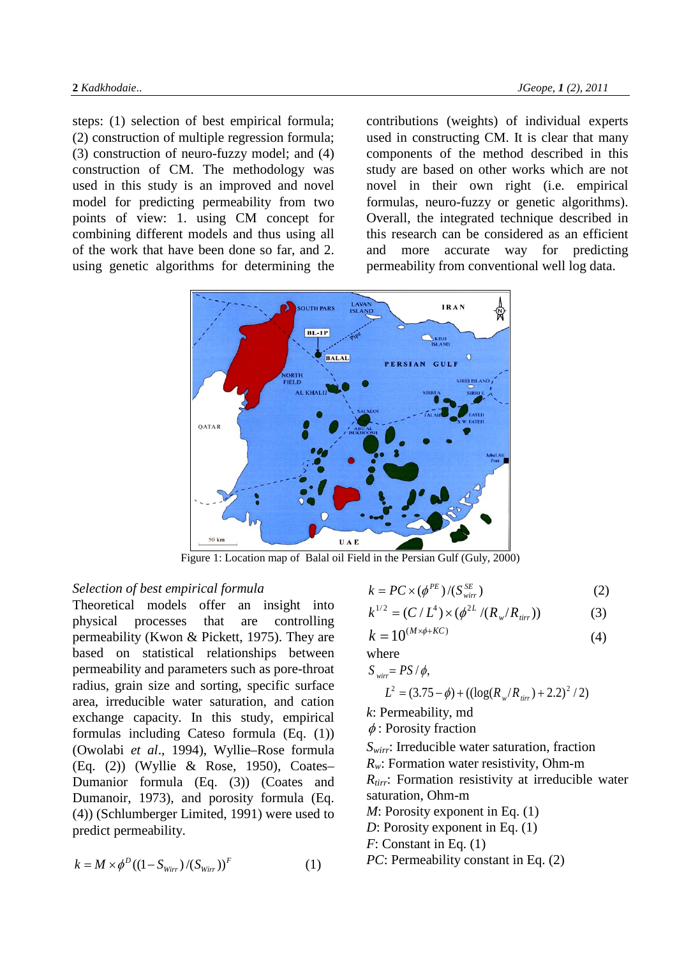steps: (1) selection of best empirical formula; (2) construction of multiple regression formula; (3) construction of neuro-fuzzy model; and (4) construction of CM. The methodology was used in this study is an improved and novel model for predicting permeability from two points of view: 1. using CM concept for combining different models and thus using all of the work that have been done so far, and 2. using genetic algorithms for determining the contributions (weights) of individual experts used in constructing CM. It is clear that many components of the method described in this study are based on other works which are not novel in their own right (i.e. empirical formulas, neuro-fuzzy or genetic algorithms). Overall, the integrated technique described in this research can be considered as an efficient and more accurate way for predicting permeability from conventional well log data.



Figure 1: Location map of Balal oil Field in the Persian Gulf (Guly, 2000)

#### *Selection of best empirical formula*

Theoretical models offer an insight into physical processes that are controlling permeability (Kwon & Pickett, 1975). They are based on statistical relationships between permeability and parameters such as pore-throat radius, grain size and sorting, specific surface area, irreducible water saturation, and cation exchange capacity. In this study, empirical formulas including Cateso formula (Eq. (1)) (Owolabi *et al*., 1994), Wyllie–Rose formula (Eq. (2)) (Wyllie & Rose, 1950), Coates– Dumanior formula (Eq. (3)) (Coates and Dumanoir, 1973), and porosity formula (Eq. (4)) (Schlumberger Limited, 1991) were used to predict permeability.

$$
k = M \times \phi^D ((1 - S_{\text{Wirr}}) / (S_{\text{Wirr}}))^F
$$
 (1)

$$
k = PC \times (\phi^{PE})/(S_{wir}^{SE})
$$
 (2)

$$
k^{1/2} = (C/L^4) \times (\phi^{2L}/(R_w/R_{\text{irr}}))
$$
 (3)

$$
k = 10^{(M \times \phi + KC)} \tag{4}
$$

where

$$
S_{\text{wirr}} = PS / \phi,
$$
  

$$
L^2 = (3.75 - \phi) + ((\log(R_w/R_{\text{tirr}}) + 2.2)^2 / 2)
$$

*k*: Permeability, md

 $\phi$ : Porosity fraction

*Swirr*: Irreducible water saturation, fraction *Rw*: Formation water resistivity, Ohm-m *R<sub>tirr</sub>*: Formation resistivity at irreducible water saturation, Ohm-m *M*: Porosity exponent in Eq. (1) *D*: Porosity exponent in Eq. (1) *F*: Constant in Eq. (1) *PC*: Permeability constant in Eq. (2)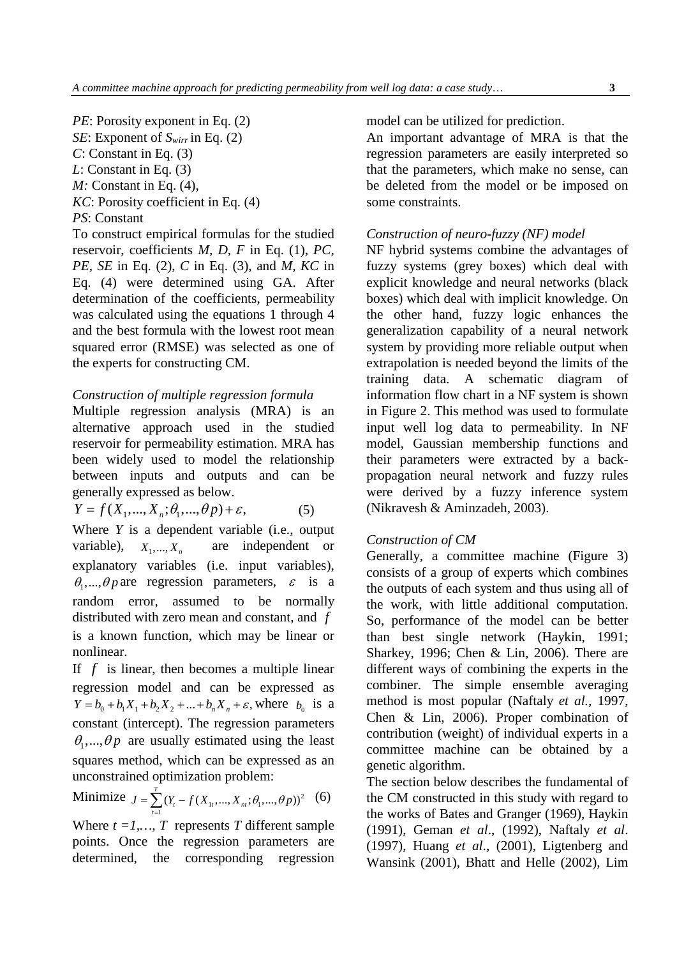*PE*: Porosity exponent in Eq. (2) *SE*: Exponent of *Swirr* in Eq. (2) *C*: Constant in Eq. (3) *L*: Constant in Eq. (3) *M:* Constant in Eq. (4), *KC*: Porosity coefficient in Eq. (4) *PS*: Constant To construct empirical formulas for the studied reservoir, coefficients *M, D, F* in Eq. (1), *PC, PE, SE* in Eq. (2), *C* in Eq. (3), and *M, KC* in

Eq. (4) were determined using GA. After determination of the coefficients, permeability was calculated using the equations 1 through 4 and the best formula with the lowest root mean squared error (RMSE) was selected as one of the experts for constructing CM.

## *Construction of multiple regression formula*

Multiple regression analysis (MRA) is an alternative approach used in the studied reservoir for permeability estimation. MRA has been widely used to model the relationship between inputs and outputs and can be generally expressed as below.

$$
Y = f(X_1, ..., X_n; \theta_1, ..., \theta_p) + \varepsilon,\tag{5}
$$

Where *Y* is a dependent variable (i.e., output variable),  $X_1, ..., X_n$  are independent or explanatory variables (i.e. input variables),  $\theta_1$ ,...,  $\theta p$  are regression parameters,  $\varepsilon$  is a random error, assumed to be normally distributed with zero mean and constant, and *f* is a known function, which may be linear or nonlinear.

If *f* is linear, then becomes a multiple linear regression model and can be expressed as  $Y = b_0 + b_1 X_1 + b_2 X_2 + ... + b_n X_n + \varepsilon$ , where  $b_0$  is a constant (intercept). The regression parameters  $\theta_1$ ,...,  $\theta p$  are usually estimated using the least squares method, which can be expressed as an unconstrained optimization problem:

Minimize 
$$
J = \sum_{t=1}^{T} (Y_t - f(X_{1t}, ..., X_m; \theta_1, ..., \theta_p))^2
$$
 (6)

Where  $t = 1, \ldots, T$  represents *T* different sample points. Once the regression parameters are determined, the corresponding regression

model can be utilized for prediction.

An important advantage of MRA is that the regression parameters are easily interpreted so that the parameters, which make no sense, can be deleted from the model or be imposed on some constraints.

#### *Construction of neuro-fuzzy (NF) model*

NF hybrid systems combine the advantages of fuzzy systems (grey boxes) which deal with explicit knowledge and neural networks (black boxes) which deal with implicit knowledge. On the other hand, fuzzy logic enhances the generalization capability of a neural network system by providing more reliable output when extrapolation is needed beyond the limits of the training data. A schematic diagram of information flow chart in a NF system is shown in Figure 2. This method was used to formulate input well log data to permeability. In NF model, Gaussian membership functions and their parameters were extracted by a backpropagation neural network and fuzzy rules were derived by a fuzzy inference system (Nikravesh & Aminzadeh, 2003).

#### *Construction of CM*

Generally, a committee machine (Figure 3) consists of a group of experts which combines the outputs of each system and thus using all of the work, with little additional computation. So, performance of the model can be better than best single network (Haykin, 1991; Sharkey, 1996; Chen & Lin, 2006). There are different ways of combining the experts in the combiner. The simple ensemble averaging method is most popular (Naftaly *et al.,* 1997, Chen & Lin, 2006). Proper combination of contribution (weight) of individual experts in a committee machine can be obtained by a genetic algorithm.

The section below describes the fundamental of the CM constructed in this study with regard to the works of Bates and Granger (1969), Haykin (1991), Geman *et al*., (1992), Naftaly *et al*. (1997), Huang *et al*., (2001), Ligtenberg and Wansink (2001), Bhatt and Helle (2002), Lim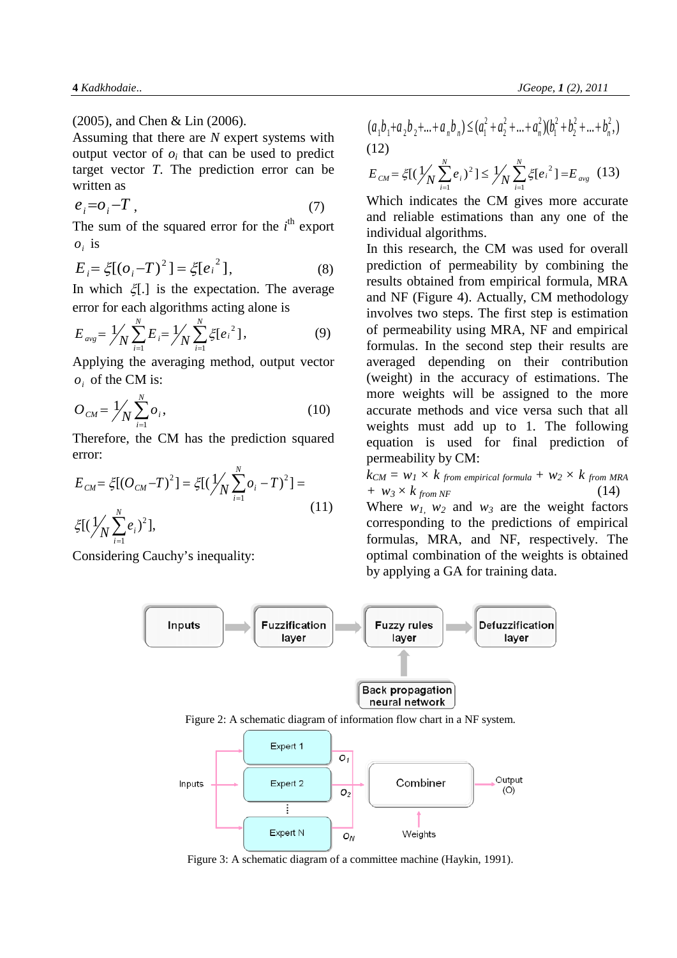(2005), and Chen & Lin (2006).

Assuming that there are *N* expert systems with output vector of  $o_i$  that can be used to predict target vector *T*. The prediction error can be written as

$$
e_i = o_i - T \tag{7}
$$

The sum of the squared error for the  $i<sup>th</sup>$  export  $o_i$  is

$$
E_i = \xi[(o_i - T)^2] = \xi[e_i^2],
$$
 (8)

In which  $\xi$ [.] is the expectation. The average error for each algorithms acting alone is

$$
E_{avg} = \frac{1}{N} \sum_{i=1}^{N} E_i = \frac{1}{N} \sum_{i=1}^{N} \xi [e_i^2],
$$
 (9)

Applying the averaging method, output vector  $o_i$  of the CM is:

$$
O_{CM} = \frac{1}{N} \sum_{i=1}^{N} o_i,
$$
 (10)

Therefore, the CM has the prediction squared error:

$$
E_{CM} = \xi[(O_{CM} - T)^{2}] = \xi[(\frac{1}{N} \sum_{i=1}^{N} o_{i} - T)^{2}] =
$$
  
 
$$
\xi[(\frac{1}{N} \sum_{i=1}^{N} e_{i})^{2}],
$$
 (11)

Considering Cauchy's inequality:

$$
(a_1b_1+a_2b_2+...+a_nb_n) \leq (a_1^2+a_2^2+...+a_n^2)(b_1^2+b_2^2+...+b_n^2,)
$$
  
(12)

$$
E_{CM} = \xi [(\frac{1}{N} \sum_{i=1}^{N} e_i)^2] \le \frac{1}{N} \sum_{i=1}^{N} \xi [e_i^2] = E_{avg} \quad (13)
$$

Which indicates the CM gives more accurate and reliable estimations than any one of the individual algorithms.

In this research, the CM was used for overall prediction of permeability by combining the results obtained from empirical formula, MRA and NF (Figure 4). Actually, CM methodology involves two steps. The first step is estimation of permeability using MRA, NF and empirical formulas. In the second step their results are averaged depending on their contribution (weight) in the accuracy of estimations. The more weights will be assigned to the more accurate methods and vice versa such that all weights must add up to 1. The following equation is used for final prediction of permeability by CM:

 $k_{CM} = w_1 \times k$  from empirical formula +  $w_2 \times k$  from MRA *+*  $w_3 \times k$  *from NF* (14)

Where  $w_1$   $w_2$  and  $w_3$  are the weight factors corresponding to the predictions of empirical formulas, MRA, and NF, respectively. The optimal combination of the weights is obtained by applying a GA for training data.



Figure 2: A schematic diagram of information flow chart in a NF system.



Figure 3: A schematic diagram of a committee machine (Haykin, 1991).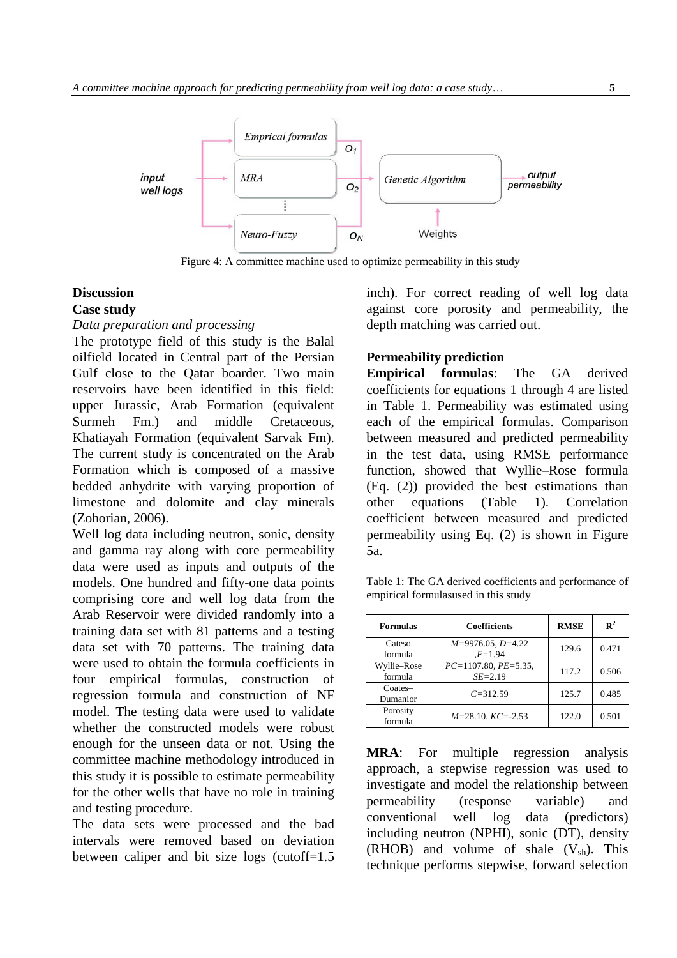

Figure 4: A committee machine used to optimize permeability in this study

## **Discussion Case study**

## *Data preparation and processing*

The prototype field of this study is the Balal oilfield located in Central part of the Persian Gulf close to the Qatar boarder. Two main reservoirs have been identified in this field: upper Jurassic, Arab Formation (equivalent Surmeh Fm.) and middle Cretaceous, Khatiayah Formation (equivalent Sarvak Fm). The current study is concentrated on the Arab Formation which is composed of a massive bedded anhydrite with varying proportion of limestone and dolomite and clay minerals (Zohorian, 2006).

Well log data including neutron, sonic, density and gamma ray along with core permeability data were used as inputs and outputs of the models. One hundred and fifty-one data points comprising core and well log data from the Arab Reservoir were divided randomly into a training data set with 81 patterns and a testing data set with 70 patterns. The training data were used to obtain the formula coefficients in four empirical formulas, construction of regression formula and construction of NF model. The testing data were used to validate whether the constructed models were robust enough for the unseen data or not. Using the committee machine methodology introduced in this study it is possible to estimate permeability for the other wells that have no role in training and testing procedure.

The data sets were processed and the bad intervals were removed based on deviation between caliper and bit size logs (cutoff=1.5

inch). For correct reading of well log data against core porosity and permeability, the depth matching was carried out.

## **Permeability prediction**

**Empirical formulas**: The GA derived coefficients for equations 1 through 4 are listed in Table 1. Permeability was estimated using each of the empirical formulas. Comparison between measured and predicted permeability in the test data, using RMSE performance function, showed that Wyllie–Rose formula (Eq. (2)) provided the best estimations than other equations (Table 1). Correlation coefficient between measured and predicted permeability using Eq. (2) is shown in Figure 5a.

Table 1: The GA derived coefficients and performance of empirical formulasused in this study

| <b>Formulas</b>                | <b>Coefficients</b>                   | <b>RMSE</b> | $\mathbf{R}^2$ |
|--------------------------------|---------------------------------------|-------------|----------------|
| Cateso<br>formula              | $M=9976.05, D=4.22$<br>$F = 1.94$     | 129.6       | 0.471          |
| Wyllie-Rose<br>formula         | $PC=1107.80, PE=5.35,$<br>$SE = 2.19$ | 117.2       | 0.506          |
| $\mathrm{Coates}-$<br>Dumanior | $C = 312.59$                          | 125.7       | 0.485          |
| Porosity<br>formula            | $M=28.10$ , $KC=-2.53$                | 122.0       | 0.501          |

**MRA**: For multiple regression analysis approach, a stepwise regression was used to investigate and model the relationship between permeability (response variable) and conventional well log data (predictors) including neutron (NPHI), sonic (DT), density (RHOB) and volume of shale  $(V_{sh})$ . This technique performs stepwise, forward selection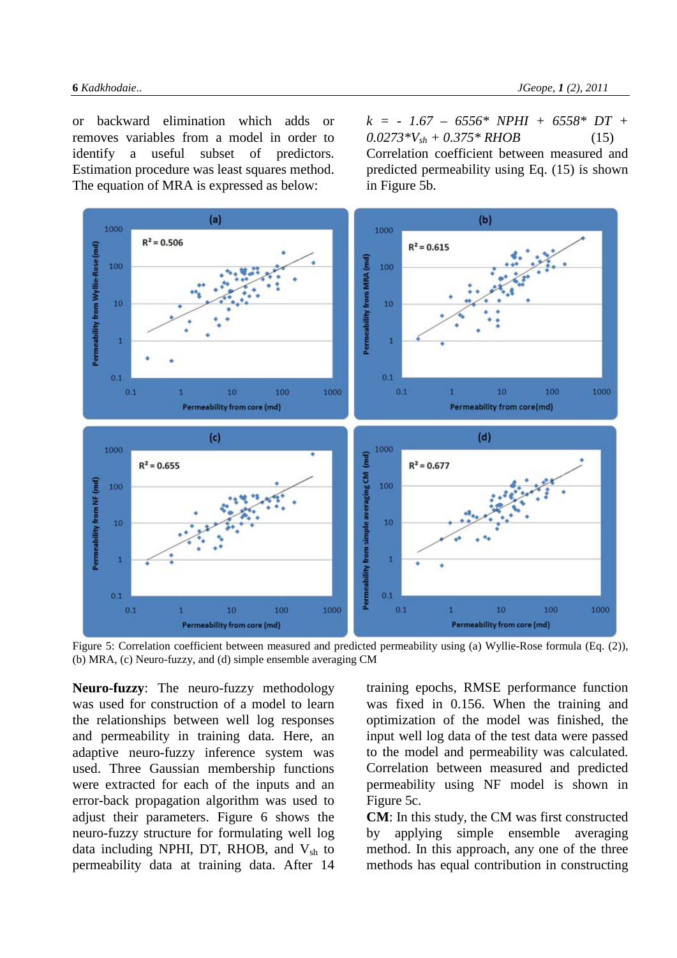or backward elimination which adds or removes variables from a model in order to identify a useful subset of predictors. Estimation procedure was least squares method. The equation of MRA is expressed as below:

*k = - 1.67 – 6556\* NPHI + 6558\* DT +*   $0.0273*V_{sh} + 0.375*RHOB$  (15) Correlation coefficient between measured and predicted permeability using Eq. (15) is shown in Figure 5b.



Figure 5: Correlation coefficient between measured and predicted permeability using (a) Wyllie-Rose formula (Eq. (2)), (b) MRA, (c) Neuro-fuzzy, and (d) simple ensemble averaging CM

**Neuro-fuzzy**: The neuro-fuzzy methodology was used for construction of a model to learn the relationships between well log responses and permeability in training data. Here, an adaptive neuro-fuzzy inference system was used. Three Gaussian membership functions were extracted for each of the inputs and an error-back propagation algorithm was used to adjust their parameters. Figure 6 shows the neuro-fuzzy structure for formulating well log data including NPHI, DT, RHOB, and  $V_{sh}$  to permeability data at training data. After 14

training epochs, RMSE performance function was fixed in 0.156. When the training and optimization of the model was finished, the input well log data of the test data were passed to the model and permeability was calculated. Correlation between measured and predicted permeability using NF model is shown in Figure 5c.

**CM**: In this study, the CM was first constructed by applying simple ensemble averaging method. In this approach, any one of the three methods has equal contribution in constructing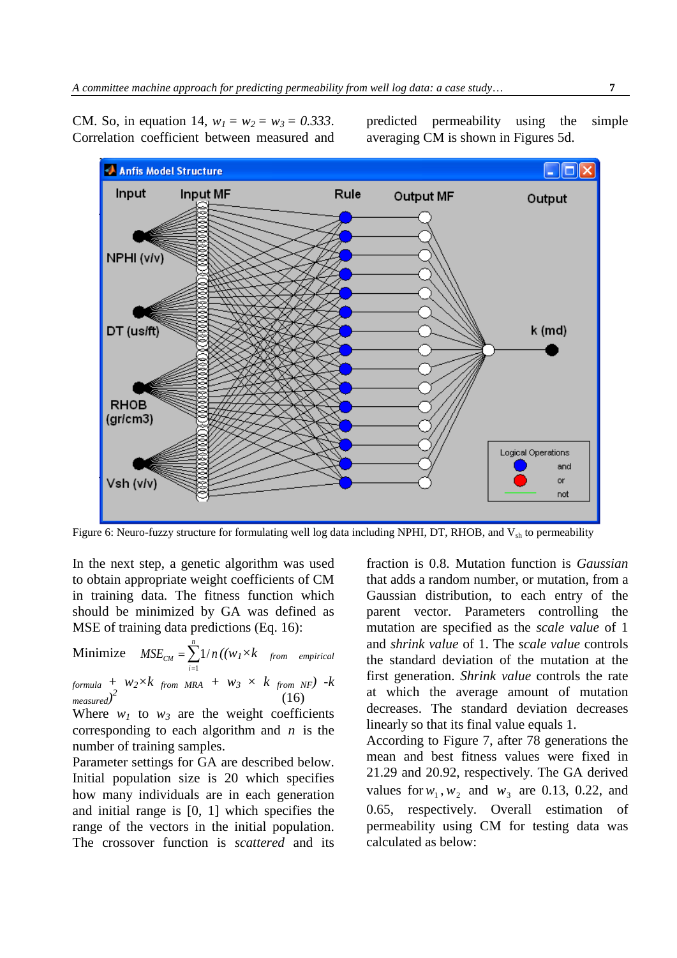

CM. So, in equation 14,  $w_1 = w_2 = w_3 = 0.333$ . Correlation coefficient between measured and predicted permeability using the simple averaging CM is shown in Figures 5d.

Figure 6: Neuro-fuzzy structure for formulating well log data including NPHI, DT, RHOB, and  $V_{sh}$  to permeability

In the next step, a genetic algorithm was used to obtain appropriate weight coefficients of CM in training data. The fitness function which should be minimized by GA was defined as MSE of training data predictions (Eq. 16):

Minimize  $MSE_{CM} = \sum_{i=1}^{N}$ *n i*  $MSE_{CM} = \sum 1/n$ 1  $1/n((w_1\times k$  from empirical *formula + w2×k from MRA + w3 × k from NF) -k measured)*  $2^{2}$  (16)

Where  $w_1$  to  $w_3$  are the weight coefficients corresponding to each algorithm and *n* is the number of training samples.

Parameter settings for GA are described below. Initial population size is 20 which specifies how many individuals are in each generation and initial range is [0, 1] which specifies the range of the vectors in the initial population. The crossover function is *scattered* and its fraction is 0.8. Mutation function is *Gaussian* that adds a random number, or mutation, from a Gaussian distribution, to each entry of the parent vector. Parameters controlling the mutation are specified as the *scale value* of 1 and *shrink value* of 1. The *scale value* controls the standard deviation of the mutation at the first generation. *Shrink value* controls the rate at which the average amount of mutation decreases. The standard deviation decreases linearly so that its final value equals 1.

According to Figure 7, after 78 generations the mean and best fitness values were fixed in 21.29 and 20.92, respectively. The GA derived values for  $w_1, w_2$  and  $w_3$  are 0.13, 0.22, and 0.65, respectively. Overall estimation of permeability using CM for testing data was calculated as below: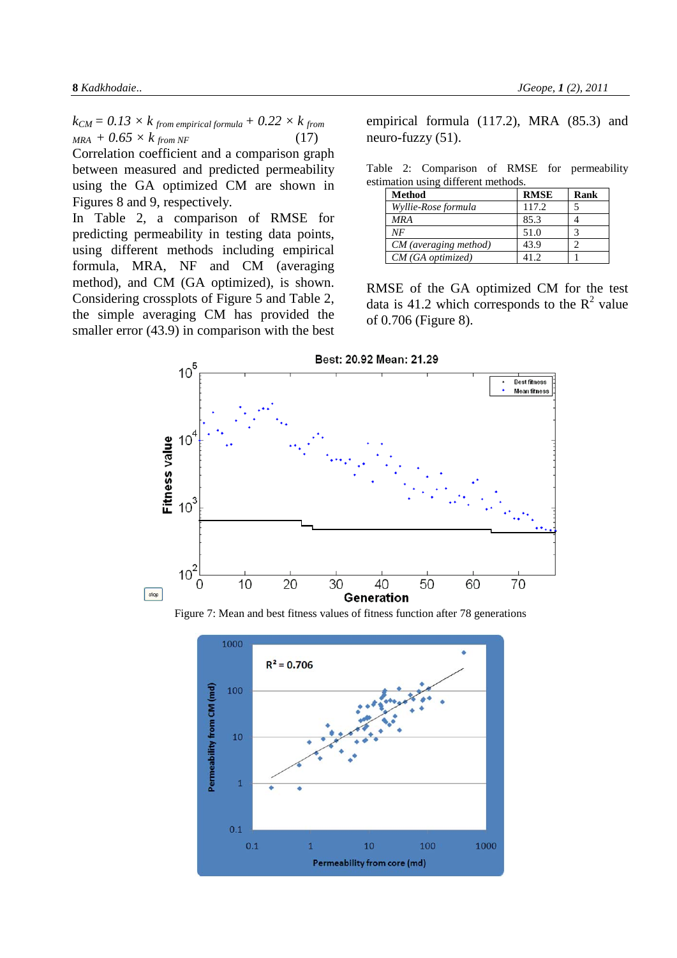$k_{CM} = 0.13 \times k$  from empirical formula +  $0.22 \times k$  from  $MRA + 0.65 \times k$  *from NF* (17) Correlation coefficient and a comparison graph between measured and predicted permeability using the GA optimized CM are shown in Figures 8 and 9, respectively.

In Table 2, a comparison of RMSE for predicting permeability in testing data points, using different methods including empirical formula, MRA, NF and CM (averaging method), and CM (GA optimized), is shown. Considering crossplots of Figure 5 and Table 2, the simple averaging CM has provided the smaller error (43.9) in comparison with the best empirical formula (117.2), MRA (85.3) and neuro-fuzzy (51).

|  | Table 2: Comparison of RMSE for permeability |  |  |
|--|----------------------------------------------|--|--|
|  | estimation using different methods.          |  |  |

| Method                | <b>RMSE</b> | Rank |
|-----------------------|-------------|------|
| Wyllie-Rose formula   | 117.2       |      |
| <b>MRA</b>            | 85.3        |      |
| NF                    | 51.0        |      |
| CM (averaging method) | 43.9        |      |
| $CM$ (GA optimized)   | 41 J        |      |

RMSE of the GA optimized CM for the test data is 41.2 which corresponds to the  $\mathbb{R}^2$  value of 0.706 (Figure 8).



Figure 7: Mean and best fitness values of fitness function after 78 generations

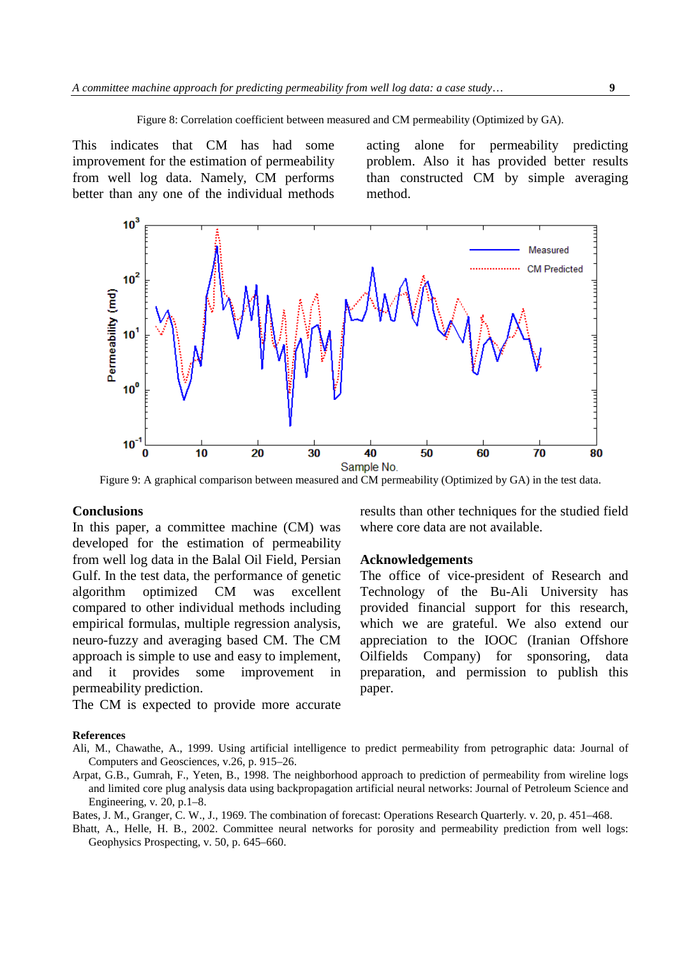Figure 8: Correlation coefficient between measured and CM permeability (Optimized by GA).

This indicates that CM has had some improvement for the estimation of permeability from well log data. Namely, CM performs better than any one of the individual methods acting alone for permeability predicting problem. Also it has provided better results than constructed CM by simple averaging method.

results than other techniques for the studied field

The office of vice-president of Research and Technology of the Bu-Ali University has provided financial support for this research, which we are grateful. We also extend our appreciation to the IOOC (Iranian Offshore Oilfields Company) for sponsoring, data preparation, and permission to publish this

where core data are not available.

**Acknowledgements**



Figure 9: A graphical comparison between measured and CM permeability (Optimized by GA) in the test data.

### **Conclusions**

In this paper, a committee machine (CM) was developed for the estimation of permeability from well log data in the Balal Oil Field, Persian Gulf. In the test data, the performance of genetic algorithm optimized CM was excellent compared to other individual methods including empirical formulas, multiple regression analysis, neuro-fuzzy and averaging based CM. The CM approach is simple to use and easy to implement, and it provides some improvement in permeability prediction.

The CM is expected to provide more accurate

#### **References**

Ali, M., Chawathe, A., 1999. Using artificial intelligence to predict permeability from petrographic data: Journal of Computers and Geosciences*,* v.26, p. 915–26.

paper.

Arpat, G.B., Gumrah, F., Yeten, B., 1998. The neighborhood approach to prediction of permeability from wireline logs and limited core plug analysis data using backpropagation artificial neural networks: Journal of Petroleum Science and Engineering*,* v*.* 20, p.1–8.

Bates, J. M., Granger, C. W., J., 1969. The combination of forecast: Operations Research Quarterly*.* v. 20, p. 451–468.

Bhatt, A., Helle, H. B., 2002. Committee neural networks for porosity and permeability prediction from well logs: Geophysics Prospecting, v. 50, p. 645–660.